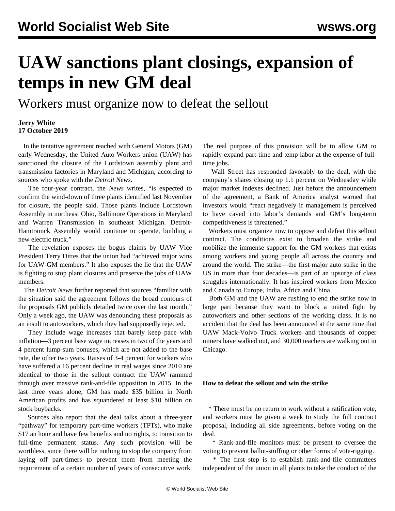## **UAW sanctions plant closings, expansion of temps in new GM deal**

Workers must organize now to defeat the sellout

## **Jerry White 17 October 2019**

 In the tentative agreement reached with General Motors (GM) early Wednesday, the United Auto Workers union (UAW) has sanctioned the closure of the Lordstown assembly plant and transmission factories in Maryland and Michigan, according to sources who spoke with the *Detroit News*.

 The four-year contract, the *News* writes, "is expected to confirm the wind-down of three plants identified last November for closure, the people said. Those plants include Lordstown Assembly in northeast Ohio, Baltimore Operations in Maryland and Warren Transmission in southeast Michigan. Detroit-Hamtramck Assembly would continue to operate, building a new electric truck."

 The revelation exposes the bogus claims by UAW Vice President Terry Dittes that the union had "achieved major wins for UAW-GM members." It also exposes the lie that the UAW is fighting to stop plant closures and preserve the jobs of UAW members.

 The *Detroit News* further reported that sources "familiar with the situation said the agreement follows the broad contours of the proposals GM publicly detailed twice over the last month." Only a week ago, the UAW was denouncing these proposals as an insult to autoworkers, which they had supposedly rejected.

 They include wage increases that barely keep pace with inflation—3 percent base wage increases in two of the years and 4 percent lump-sum bonuses, which are not added to the base rate, the other two years. Raises of 3-4 percent for workers who have suffered a 16 percent decline in real wages since 2010 are identical to those in the sellout contract the UAW rammed through over massive rank-and-file opposition in 2015. In the last three years alone, GM has made \$35 billion in North American profits and has squandered at least \$10 billion on stock buybacks.

 Sources also report that the deal talks about a three-year "pathway" for temporary part-time workers (TPTs), who make \$17 an hour and have few benefits and no rights, to transition to full-time permanent status. Any such provision will be worthless, since there will be nothing to stop the company from laying off part-timers to prevent them from meeting the requirement of a certain number of years of consecutive work. The real purpose of this provision will be to allow GM to rapidly expand part-time and temp labor at the expense of fulltime jobs.

 Wall Street has responded favorably to the deal, with the company's shares closing up 1.1 percent on Wednesday while major market indexes declined. Just before the announcement of the agreement, a Bank of America analyst warned that investors would "react negatively if management is perceived to have caved into labor's demands and GM's long-term competitiveness is threatened."

 Workers must organize now to oppose and defeat this sellout contract. The conditions exist to broaden the strike and mobilize the immense support for the GM workers that exists among workers and young people all across the country and around the world. The strike—the first major auto strike in the US in more than four decades—is part of an upsurge of class struggles internationally. It has inspired workers from Mexico and Canada to Europe, India, Africa and China.

 Both GM and the UAW are rushing to end the strike now in large part because they want to block a united fight by autoworkers and other sections of the working class. It is no accident that the deal has been announced at the same time that UAW Mack-Volvo Truck workers and thousands of copper miners have walked out, and 30,000 teachers are walking out in Chicago.

## **How to defeat the sellout and win the strike**

 \* There must be no return to work without a ratification vote, and workers must be given a week to study the full contract proposal, including all side agreements, before voting on the deal.

 \* Rank-and-file monitors must be present to oversee the voting to prevent ballot-stuffing or other forms of vote-rigging.

 \* The first step is to establish rank-and-file committees independent of the union in all plants to take the conduct of the